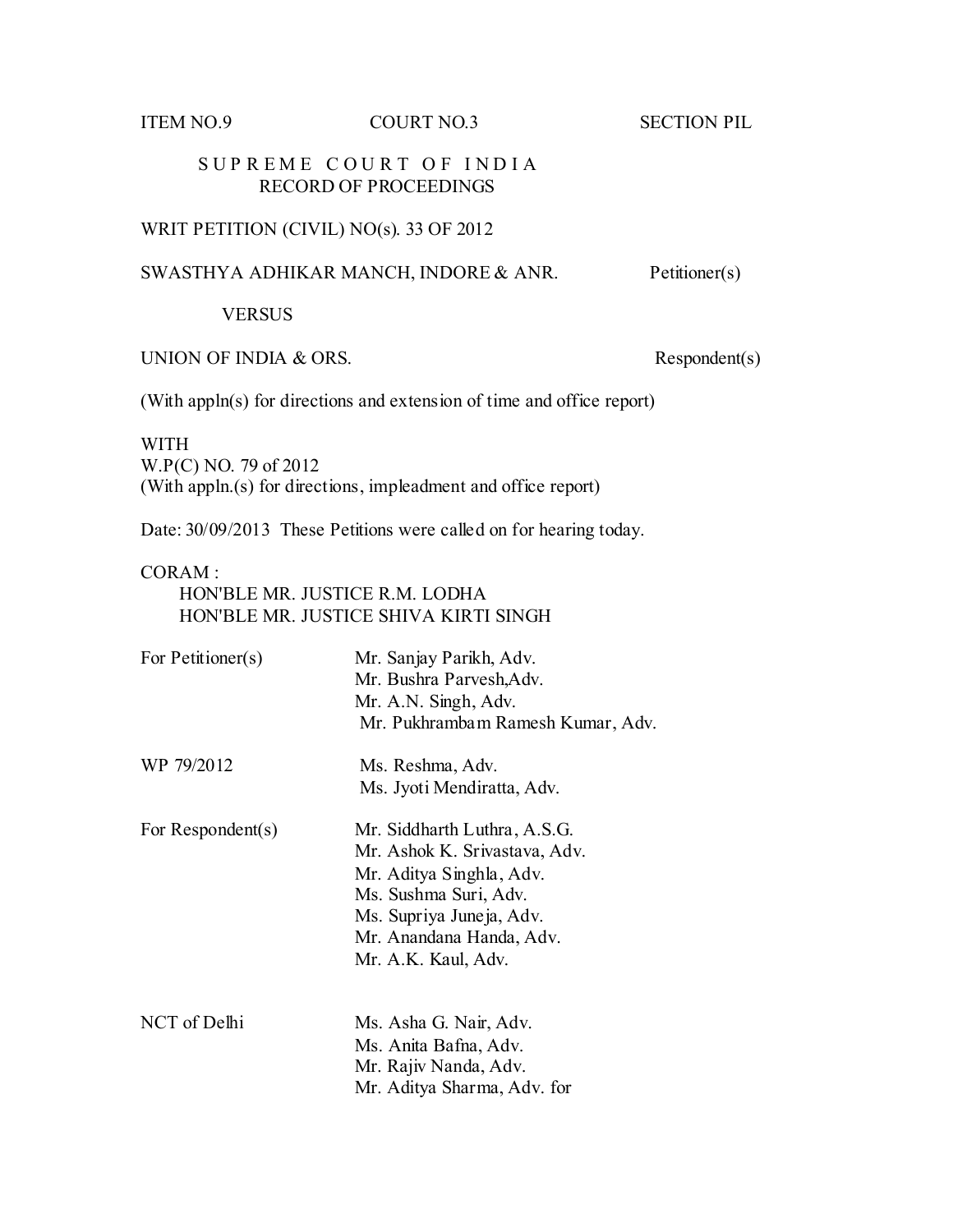ITEM NO.9 COURT NO.3 SECTION PIL

## SUPREME COURT OF INDIA RECORD OF PROCEEDINGS

# WRIT PETITION (CIVIL) NO(s). 33 OF 2012

# SWASTHYA ADHIKAR MANCH, INDORE & ANR. Petitioner(s)

## VERSUS

UNION OF INDIA  $& ORS.$  Respondent(s)

(With appln(s) for directions and extension of time and office report)

### WITH

W.P(C) NO. 79 of 2012 (With appln.(s) for directions, impleadment and office report)

Date: 30/09/2013 These Petitions were called on for hearing today.

### CORAM :

 HON'BLE MR. JUSTICE R.M. LODHA HON'BLE MR. JUSTICE SHIVA KIRTI SINGH

| For Petitioner(s) | Mr. Sanjay Parikh, Adv.<br>Mr. Bushra Parvesh, Adv.<br>Mr. A.N. Singh, Adv.<br>Mr. Pukhrambam Ramesh Kumar, Adv.                                                                                  |
|-------------------|---------------------------------------------------------------------------------------------------------------------------------------------------------------------------------------------------|
| WP 79/2012        | Ms. Reshma, Adv.<br>Ms. Jyoti Mendiratta, Adv.                                                                                                                                                    |
| For Respondent(s) | Mr. Siddharth Luthra, A.S.G.<br>Mr. Ashok K. Srivastava, Adv.<br>Mr. Aditya Singhla, Adv.<br>Ms. Sushma Suri, Adv.<br>Ms. Supriya Juneja, Adv.<br>Mr. Anandana Handa, Adv.<br>Mr. A.K. Kaul, Adv. |
| NCT of Delhi      | Ms. Asha G. Nair, Adv.<br>Ms. Anita Bafna, Adv.<br>Mr. Rajiv Nanda, Adv.<br>Mr. Aditya Sharma, Adv. for                                                                                           |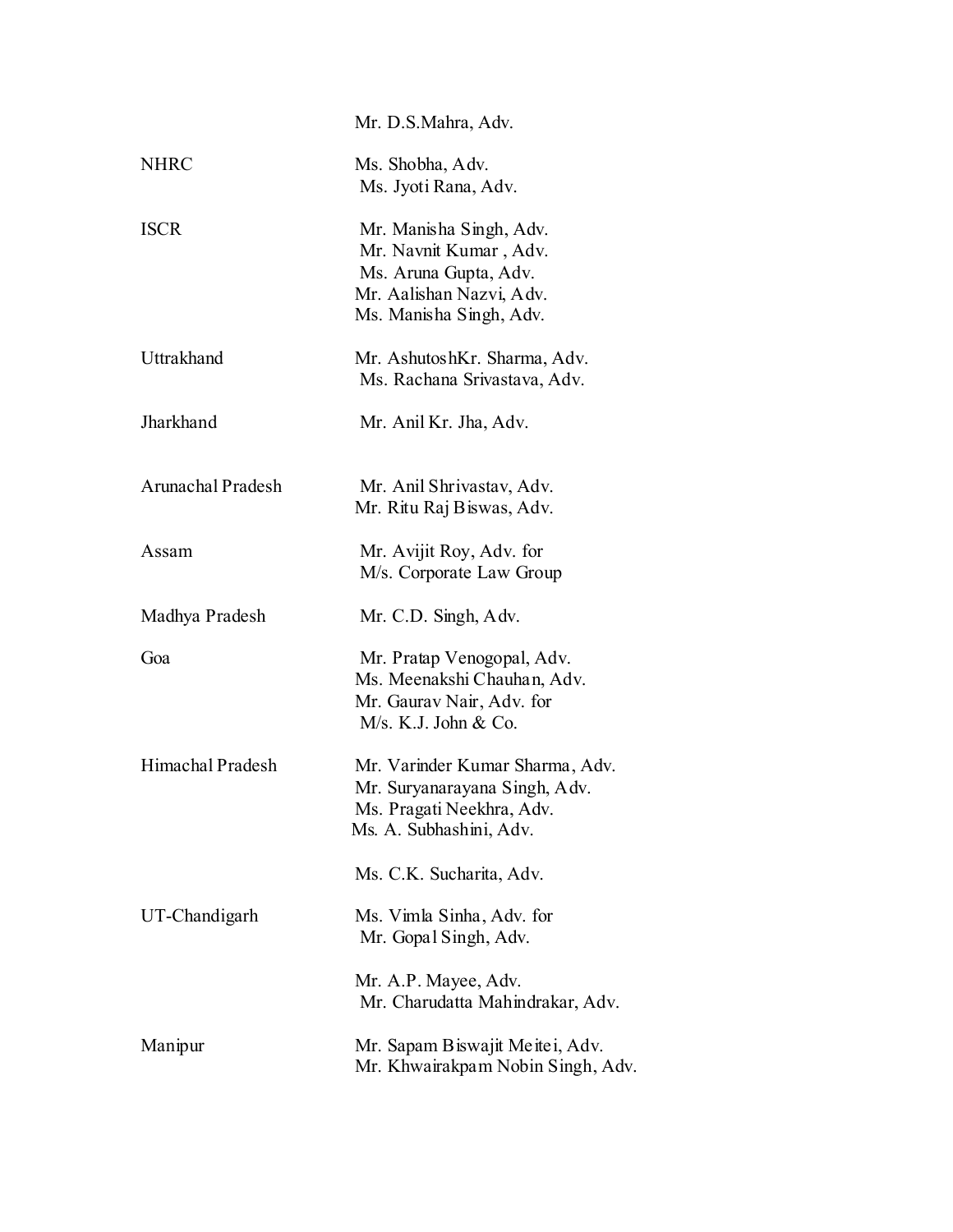|                   | Mr. D.S.Mahra, Adv.                                                                                                               |
|-------------------|-----------------------------------------------------------------------------------------------------------------------------------|
| <b>NHRC</b>       | Ms. Shobha, Adv.<br>Ms. Jyoti Rana, Adv.                                                                                          |
| <b>ISCR</b>       | Mr. Manisha Singh, Adv.<br>Mr. Navnit Kumar, Adv.<br>Ms. Aruna Gupta, Adv.<br>Mr. Aalishan Nazvi, Adv.<br>Ms. Manisha Singh, Adv. |
| Uttrakhand        | Mr. AshutoshKr. Sharma, Adv.<br>Ms. Rachana Srivastava, Adv.                                                                      |
| Jharkhand         | Mr. Anil Kr. Jha, Adv.                                                                                                            |
| Arunachal Pradesh | Mr. Anil Shrivastav, Adv.<br>Mr. Ritu Raj Biswas, Adv.                                                                            |
| Assam             | Mr. Avijit Roy, Adv. for<br>M/s. Corporate Law Group                                                                              |
| Madhya Pradesh    | Mr. C.D. Singh, Adv.                                                                                                              |
| Goa               | Mr. Pratap Venogopal, Adv.<br>Ms. Meenakshi Chauhan, Adv.<br>Mr. Gaurav Nair, Adv. for<br>M/s. K.J. John & Co.                    |
| Himachal Pradesh  | Mr. Varinder Kumar Sharma, Adv.<br>Mr. Suryanarayana Singh, Adv.<br>Ms. Pragati Neekhra, Adv.<br>Ms. A. Subhashini, Adv.          |
|                   | Ms. C.K. Sucharita, Adv.                                                                                                          |
| UT-Chandigarh     | Ms. Vimla Sinha, Adv. for<br>Mr. Gopal Singh, Adv.                                                                                |
|                   | Mr. A.P. Mayee, Adv.<br>Mr. Charudatta Mahindrakar, Adv.                                                                          |
| Manipur           | Mr. Sapam Biswajit Meitei, Adv.<br>Mr. Khwairakpam Nobin Singh, Adv.                                                              |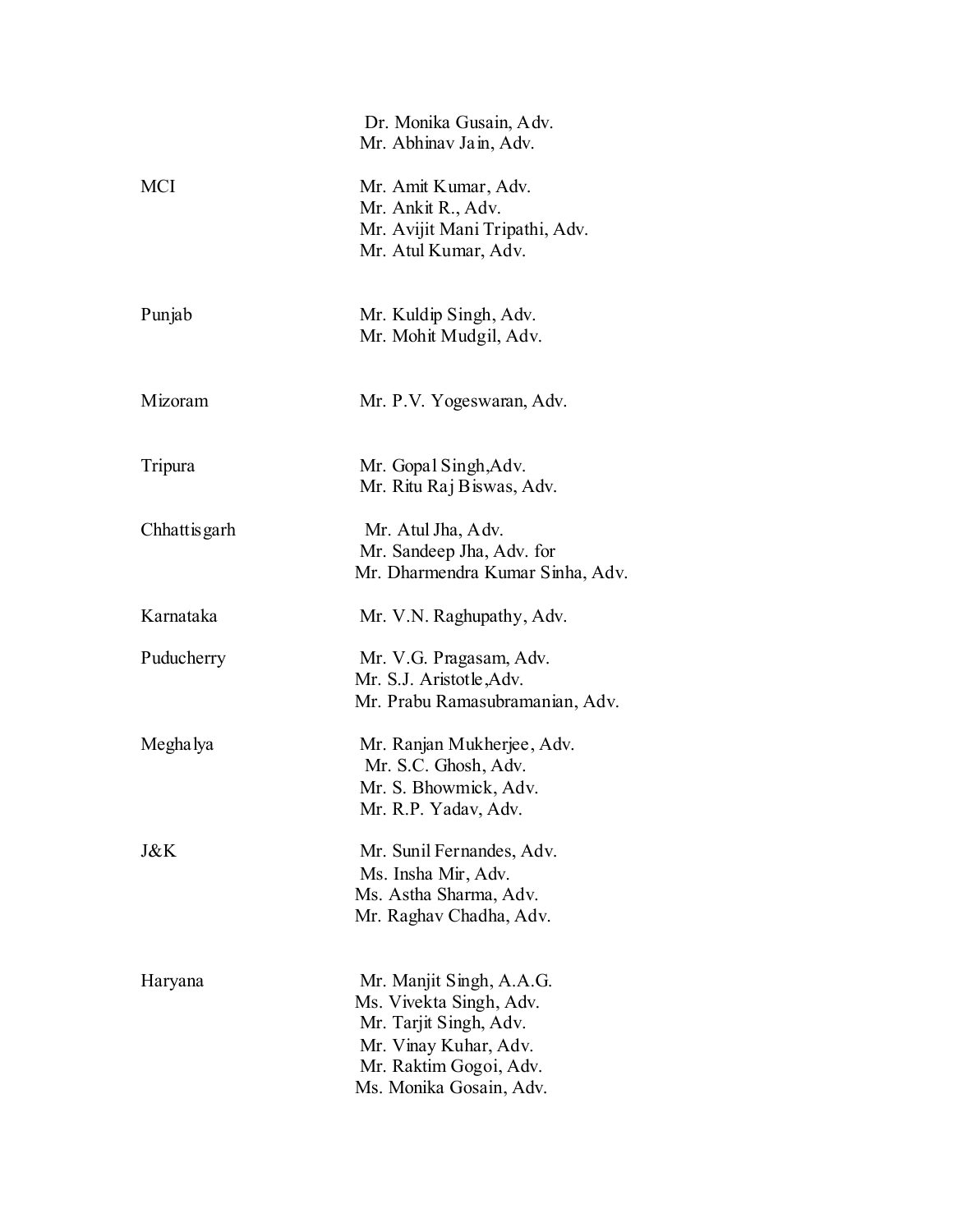|              | Dr. Monika Gusain, Adv.<br>Mr. Abhinav Jain, Adv.                                                                                                           |
|--------------|-------------------------------------------------------------------------------------------------------------------------------------------------------------|
| <b>MCI</b>   | Mr. Amit Kumar, Adv.<br>Mr. Ankit R., Adv.<br>Mr. Avijit Mani Tripathi, Adv.<br>Mr. Atul Kumar, Adv.                                                        |
| Punjab       | Mr. Kuldip Singh, Adv.<br>Mr. Mohit Mudgil, Adv.                                                                                                            |
| Mizoram      | Mr. P.V. Yogeswaran, Adv.                                                                                                                                   |
| Tripura      | Mr. Gopal Singh, Adv.<br>Mr. Ritu Raj Biswas, Adv.                                                                                                          |
| Chhattisgarh | Mr. Atul Jha, Adv.<br>Mr. Sandeep Jha, Adv. for<br>Mr. Dharmendra Kumar Sinha, Adv.                                                                         |
| Karnataka    | Mr. V.N. Raghupathy, Adv.                                                                                                                                   |
| Puducherry   | Mr. V.G. Pragasam, Adv.<br>Mr. S.J. Aristotle, Adv.<br>Mr. Prabu Ramasubramanian, Adv.                                                                      |
| Megha lya    | Mr. Ranjan Mukherjee, Adv.<br>Mr. S.C. Ghosh, Adv.<br>Mr. S. Bhowmick, Adv.<br>Mr. R.P. Yadav, Adv.                                                         |
| J&K          | Mr. Sunil Fernandes, Adv.<br>Ms. Insha Mir, Adv.<br>Ms. Astha Sharma, Adv.<br>Mr. Raghav Chadha, Adv.                                                       |
| Haryana      | Mr. Manjit Singh, A.A.G.<br>Ms. Vivekta Singh, Adv.<br>Mr. Tarjit Singh, Adv.<br>Mr. Vinay Kuhar, Adv.<br>Mr. Raktim Gogoi, Adv.<br>Ms. Monika Gosain, Adv. |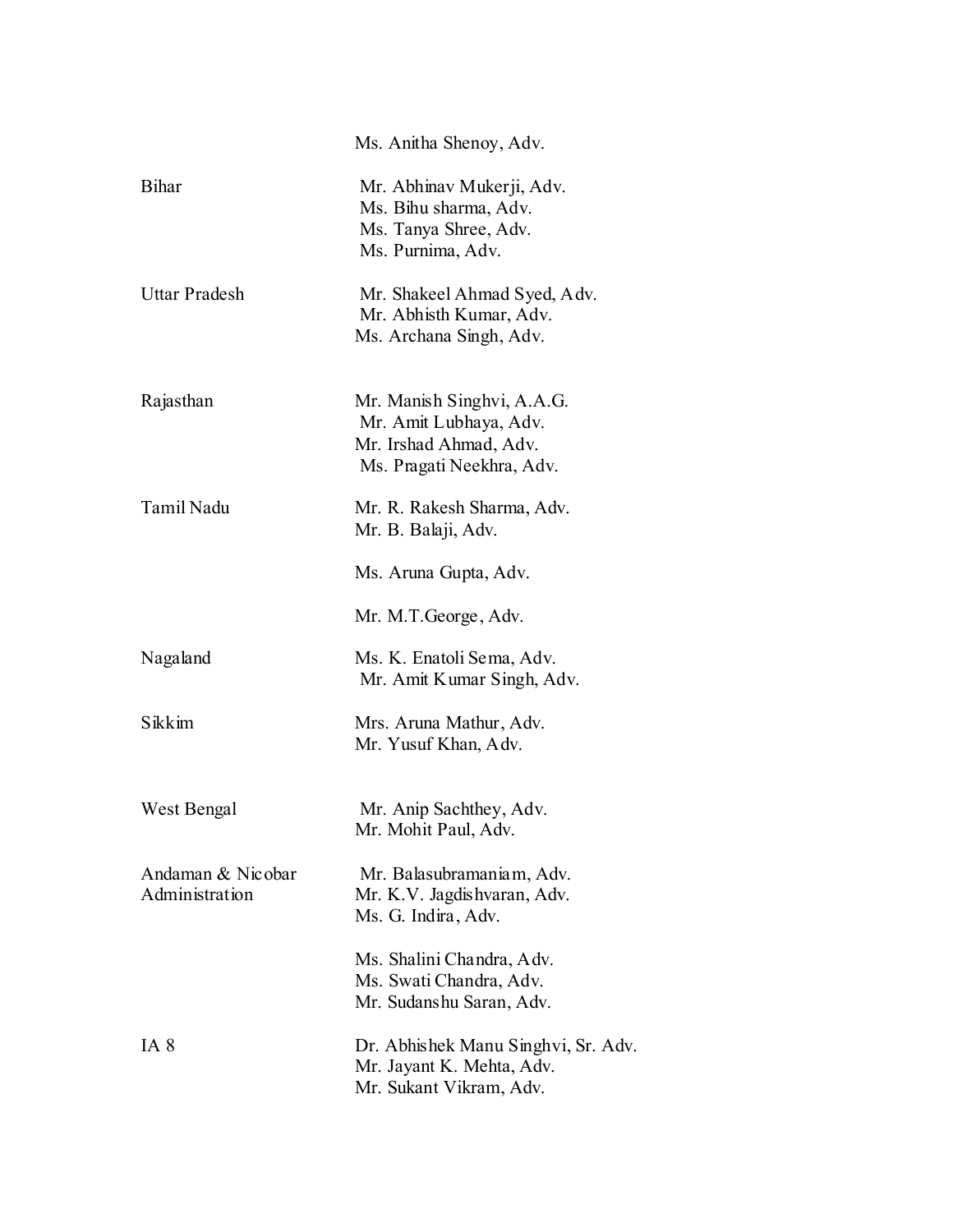|                                     | Ms. Anitha Shenoy, Adv.                                                                                     |
|-------------------------------------|-------------------------------------------------------------------------------------------------------------|
| <b>Bihar</b>                        | Mr. Abhinav Mukerji, Adv.<br>Ms. Bihu sharma, Adv.<br>Ms. Tanya Shree, Adv.<br>Ms. Purnima, Adv.            |
| <b>Uttar Pradesh</b>                | Mr. Shakeel Ahmad Syed, Adv.<br>Mr. Abhisth Kumar, Adv.<br>Ms. Archana Singh, Adv.                          |
| Rajasthan                           | Mr. Manish Singhvi, A.A.G.<br>Mr. Amit Lubhaya, Adv.<br>Mr. Irshad Ahmad, Adv.<br>Ms. Pragati Neekhra, Adv. |
| Tamil Nadu                          | Mr. R. Rakesh Sharma, Adv.<br>Mr. B. Balaji, Adv.                                                           |
|                                     | Ms. Aruna Gupta, Adv.                                                                                       |
|                                     | Mr. M.T. George, Adv.                                                                                       |
| Nagaland                            | Ms. K. Enatoli Sema, Adv.<br>Mr. Amit Kumar Singh, Adv.                                                     |
| Sikkim                              | Mrs. Aruna Mathur, Adv.<br>Mr. Yusuf Khan, Adv.                                                             |
| West Bengal                         | Mr. Anip Sachthey, Adv.<br>Mr. Mohit Paul, Adv.                                                             |
| Andaman & Nicobar<br>Administration | Mr. Balasubramaniam, Adv.<br>Mr. K.V. Jagdishvaran, Adv.<br>Ms. G. Indira, Adv.                             |
|                                     | Ms. Shalini Chandra, Adv.<br>Ms. Swati Chandra, Adv.<br>Mr. Sudanshu Saran, Adv.                            |
| IA 8                                | Dr. Abhishek Manu Singhvi, Sr. Adv.<br>Mr. Jayant K. Mehta, Adv.<br>Mr. Sukant Vikram, Adv.                 |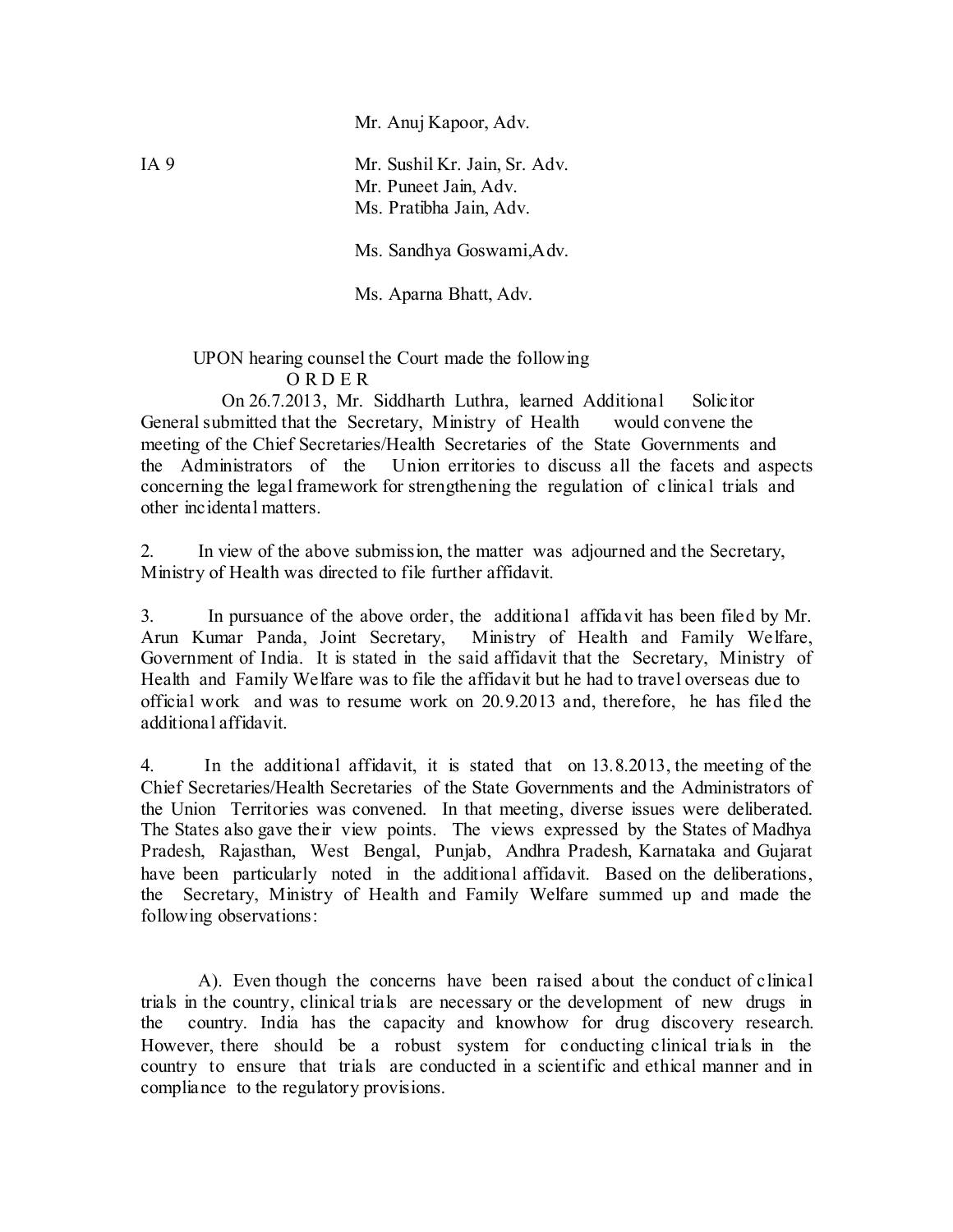Mr. Anuj Kapoor, Adv.

IA 9 Mr. Sushil Kr. Jain, Sr. Adv. Mr. Puneet Jain, Adv. Ms. Pratibha Jain, Adv.

Ms. Sandhya Goswami,Adv.

Ms. Aparna Bhatt, Adv.

 UPON hearing counsel the Court made the following O R D E R

 On 26.7.2013, Mr. Siddharth Luthra, learned Additional Solicitor General submitted that the Secretary, Ministry of Health would convene the meeting of the Chief Secretaries/Health Secretaries of the State Governments and the Administrators of the Union erritories to discuss all the facets and aspects concerning the legal framework for strengthening the regulation of clinical trials and other incidental matters.

2. In view of the above submission, the matter was adjourned and the Secretary, Ministry of Health was directed to file further affidavit.

3. In pursuance of the above order, the additional affidavit has been filed by Mr. Arun Kumar Panda, Joint Secretary, Ministry of Health and Family Welfare, Government of India. It is stated in the said affidavit that the Secretary, Ministry of Health and Family Welfare was to file the affidavit but he had to travel overseas due to official work and was to resume work on 20.9.2013 and, therefore, he has filed the additional affidavit.

4. In the additional affidavit, it is stated that on 13.8.2013, the meeting of the Chief Secretaries/Health Secretaries of the State Governments and the Administrators of the Union Territories was convened. In that meeting, diverse issues were deliberated. The States also gave their view points. The views expressed by the States of Madhya Pradesh, Rajasthan, West Bengal, Punjab, Andhra Pradesh, Karnataka and Gujarat have been particularly noted in the additional affidavit. Based on the deliberations, the Secretary, Ministry of Health and Family Welfare summed up and made the following observations:

 A). Even though the concerns have been raised about the conduct of clinical trials in the country, clinical trials are necessary or the development of new drugs in the country. India has the capacity and knowhow for drug discovery research. However, there should be a robust system for conducting clinical trials in the country to ensure that trials are conducted in a scientific and ethical manner and in compliance to the regulatory provisions.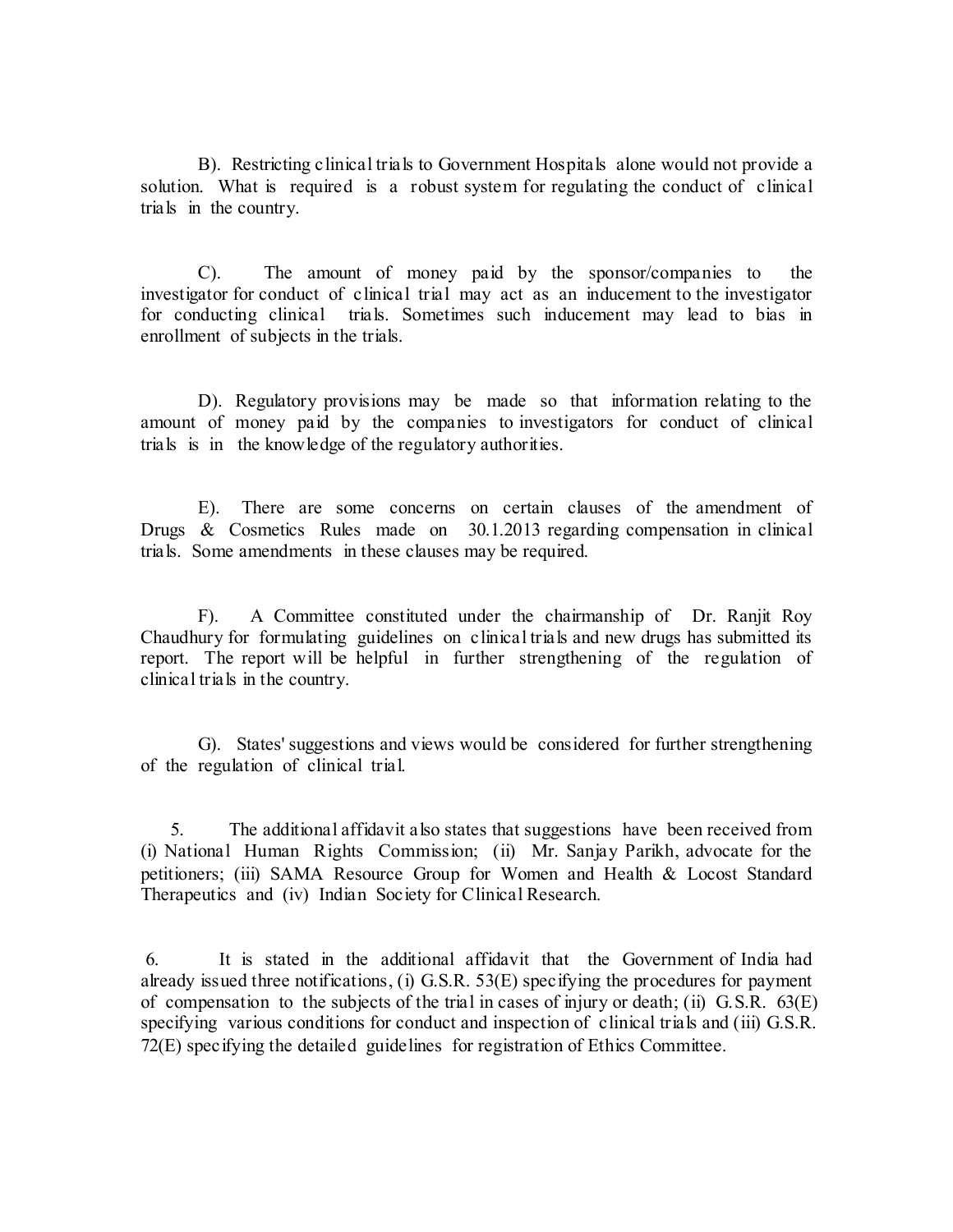B). Restricting clinical trials to Government Hospitals alone would not provide a solution. What is required is a robust system for regulating the conduct of clinical trials in the country.

 C). The amount of money paid by the sponsor/companies to the investigator for conduct of clinical trial may act as an inducement to the investigator for conducting clinical trials. Sometimes such inducement may lead to bias in enrollment of subjects in the trials.

 D). Regulatory provisions may be made so that information relating to the amount of money paid by the companies to investigators for conduct of clinical trials is in the knowledge of the regulatory authorities.

 E). There are some concerns on certain clauses of the amendment of Drugs & Cosmetics Rules made on 30.1.2013 regarding compensation in clinical trials. Some amendments in these clauses may be required.

 F). A Committee constituted under the chairmanship of Dr. Ranjit Roy Chaudhury for formulating guidelines on clinical trials and new drugs has submitted its report. The report will be helpful in further strengthening of the regulation of clinical trials in the country.

 G). States' suggestions and views would be considered for further strengthening of the regulation of clinical trial.

 5. The additional affidavit also states that suggestions have been received from (i) National Human Rights Commission; (ii) Mr. Sanjay Parikh, advocate for the petitioners; (iii) SAMA Resource Group for Women and Health & Locost Standard Therapeutics and (iv) Indian Society for Clinical Research.

6. It is stated in the additional affidavit that the Government of India had already issued three notifications, (i) G.S.R. 53(E) specifying the procedures for payment of compensation to the subjects of the trial in cases of injury or death; (ii) G.S.R. 63(E) specifying various conditions for conduct and inspection of clinical trials and (iii) G.S.R. 72(E) specifying the detailed guidelines for registration of Ethics Committee.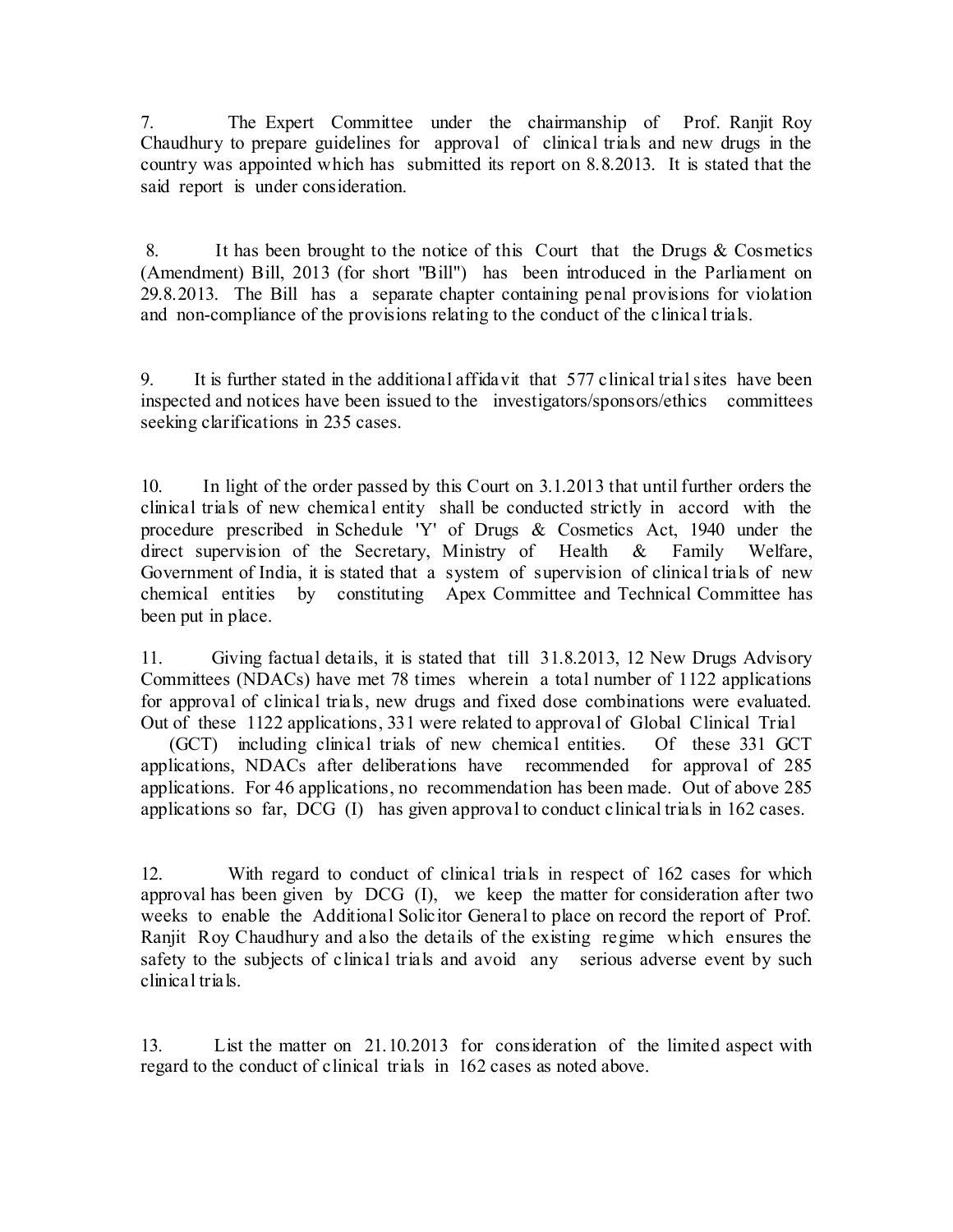7. The Expert Committee under the chairmanship of Prof. Ranjit Roy Chaudhury to prepare guidelines for approval of clinical trials and new drugs in the country was appointed which has submitted its report on 8.8.2013. It is stated that the said report is under consideration.

8. It has been brought to the notice of this Court that the Drugs & Cosmetics (Amendment) Bill, 2013 (for short "Bill") has been introduced in the Parliament on 29.8.2013. The Bill has a separate chapter containing penal provisions for violation and non-compliance of the provisions relating to the conduct of the clinical trials.

9. It is further stated in the additional affidavit that 577 clinical trial sites have been inspected and notices have been issued to the investigators/sponsors/ethics committees seeking clarifications in 235 cases.

10. In light of the order passed by this Court on 3.1.2013 that until further orders the clinical trials of new chemical entity shall be conducted strictly in accord with the procedure prescribed in Schedule 'Y' of Drugs & Cosmetics Act, 1940 under the direct supervision of the Secretary, Ministry of Health & Family Welfare, Government of India, it is stated that a system of supervision of clinical trials of new chemical entities by constituting Apex Committee and Technical Committee has been put in place.

11. Giving factual details, it is stated that till 31.8.2013, 12 New Drugs Advisory Committees (NDACs) have met 78 times wherein a total number of 1122 applications for approval of clinical trials, new drugs and fixed dose combinations were evaluated. Out of these 1122 applications, 331 were related to approval of Global Clinical Trial

 (GCT) including clinical trials of new chemical entities. Of these 331 GCT applications, NDACs after deliberations have recommended for approval of 285 applications. For 46 applications, no recommendation has been made. Out of above 285 applications so far, DCG (I) has given approval to conduct clinical trials in 162 cases.

12. With regard to conduct of clinical trials in respect of 162 cases for which approval has been given by DCG (I), we keep the matter for consideration after two weeks to enable the Additional Solicitor General to place on record the report of Prof. Ranjit Roy Chaudhury and also the details of the existing regime which ensures the safety to the subjects of clinical trials and avoid any serious adverse event by such clinical trials.

13. List the matter on 21.10.2013 for consideration of the limited aspect with regard to the conduct of clinical trials in 162 cases as noted above.